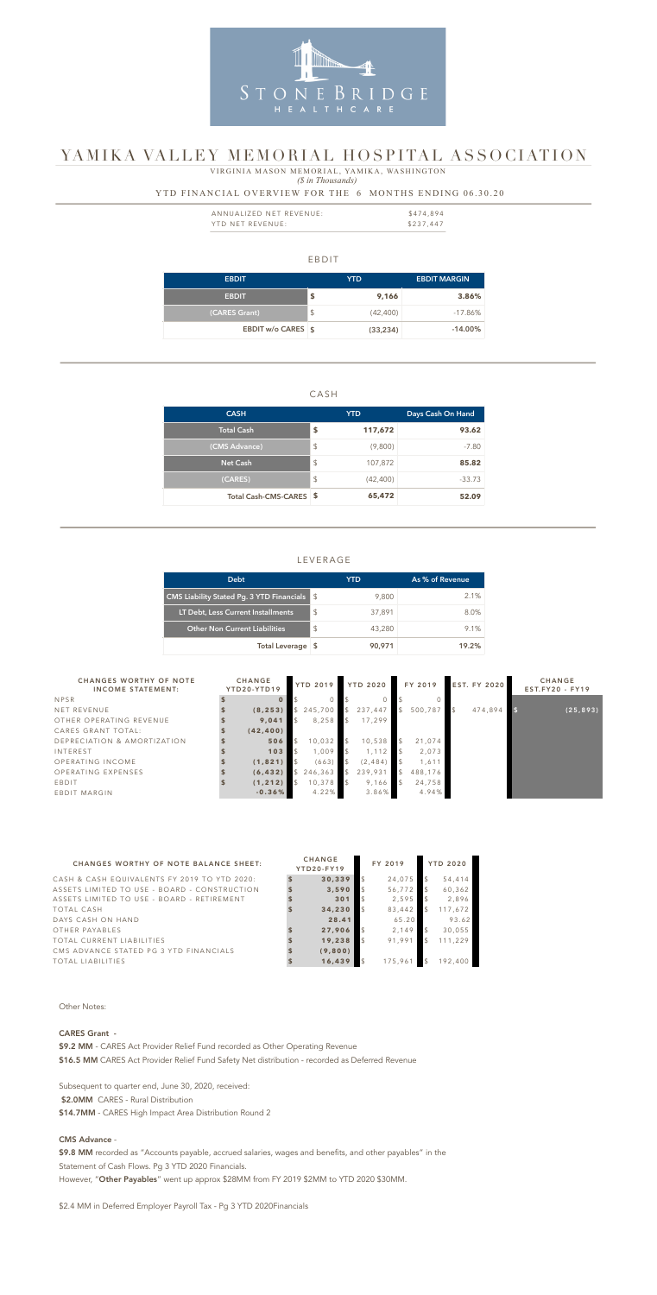### EBDIT

| <b>EBDIT</b>       |               | YTD.      | <b>EBDIT MARGIN</b> |
|--------------------|---------------|-----------|---------------------|
| <b>EBDIT</b>       | \$            | 9,166     | 3.86%               |
| (CARES Grant)      | $\frac{1}{2}$ | (42, 400) | $-17.86\%$          |
| EBDIT w/o CARES \$ |               | (33, 234) | $-14.00\%$          |

### CASH

| <b>CASH</b>             | YTD.            | Days Cash On Hand |
|-------------------------|-----------------|-------------------|
| Total Cash              | \$<br>117,672   | 93.62             |
| (CMS Advance)           | \$<br>(9,800)   | $-7.80$           |
| <b>Net Cash</b>         | \$<br>107,872   | 85.82             |
| (CARES)                 | \$<br>(42, 400) | $-33.73$          |
| Total Cash-CMS-CARES \$ | 65,472          | 52.09             |

| ANNUALIZED NET REVENUE: | \$474.894 |
|-------------------------|-----------|
| YTD NET REVENUE:        | \$237,447 |

### LEVERAGE

 *(\$ in Thousands)* VIRGINIA MASON MEMORIAL, YAMIKA, WASHINGTON

| <b>Debt</b>                                                               |                | YTD    | As % of Revenue |
|---------------------------------------------------------------------------|----------------|--------|-----------------|
| <b>CMS Liability Stated Pg. 3 YTD Financials <math>\frac{1}{3}</math></b> |                | 9,800  | $2.1\%$         |
| LT Debt, Less Current Installments                                        | $\mathfrak{L}$ | 37,891 | 8.0%            |
| <b>Other Non Current Liabilities</b>                                      | $\mathfrak{L}$ | 43,280 | $9.1\%$         |
| Total Leverage \$                                                         |                | 90,971 | 19.2%           |

### YTD FINANCIAL OVERVIEW FOR THE 6 MONTHS ENDING 06.30.20



# YAMIKA VALLEY MEMORIAL HOSPITAL ASSOCIATION

| <b>CHANGES WORTHY OF NOTE</b><br><b>INCOME STATEMENT:</b> | <b>CHANGE</b><br>YTD20-YTD19 | <b>YTD 2019</b> |               | <b>YTD 2020</b> |               | FY 2019 | <b>EST. FY 2020</b> | <b>CHANGE</b><br>$EST.FY20 - FY19$ |
|-----------------------------------------------------------|------------------------------|-----------------|---------------|-----------------|---------------|---------|---------------------|------------------------------------|
| <b>NPSR</b>                                               |                              |                 |               |                 |               |         |                     |                                    |
| NET REVENUE                                               | (8, 253)                     | \$245,700       |               | 237,447         | $\mathcal{L}$ | 500,787 | 474,894             | (25, 893)                          |
| OTHER OPERATING REVENUE                                   | 9,041                        | 8,258           | $\mathcal{S}$ | 17,299          |               |         |                     |                                    |
| CARES GRANT TOTAL:                                        | (42, 400)                    |                 |               |                 |               |         |                     |                                    |
| DEPRECIATION & AMORTIZATION                               | 506                          | 10,032          | $\mathcal{S}$ | 10,538          |               | 21,074  |                     |                                    |
| INTEREST                                                  | 103                          | 1,009           |               | 1, 112          |               | 2,073   |                     |                                    |
| OPERATING INCOME                                          | (1, 821)                     | (663)           |               | (2, 484)        |               | 1,611   |                     |                                    |
| OPERATING EXPENSES                                        | (6, 432)                     | 246,363         |               | 239,931         |               | 488,176 |                     |                                    |
| EBDIT                                                     | (1, 212)                     | 10,378          |               | 9,166           |               | 24,758  |                     |                                    |
| EBDIT MARGIN                                              | $-0.36%$                     | 4.22%           |               | 3.86%           |               | 4.94%   |                     |                                    |

#### CHANGES WORTHY OF NOTE BALANCE SHEET:

CASH & CASH EQUIVALENTS FY 2019 TO YTD 2020: ASSETS LIMITED TO USE - BOARD - CONSTRUCTION ASSETS LIMITED TO USE - BOARD - RETIREMENT  $TOTAL CASH$ DAYS CASH ON HAND OTHER PAYABLES TOTAL CURRENT LIABILITIES CMS ADVANCE STATED PG 3 YTD FINANCIALS **TOTAL LIABILITIES** 

\$9.8 MM recorded as "Accounts payable, accrued salaries, wages and benefits, and other payables" in the Statement of Cash Flows. Pg 3 YTD 2020 Financials.

|    | <b>CHANGE</b><br>YTD20-FY19 | FY 2019       |                         | <b>YTD 2020</b> |
|----|-----------------------------|---------------|-------------------------|-----------------|
| \$ | 30,339                      | \$<br>24,075  | \$                      | 54,414          |
| \$ | 3,590                       | \$<br>56,772  | $\frac{1}{2}$           | 60,362          |
| \$ | 301                         | \$<br>2,595   | $\sqrt[6]{\frac{1}{2}}$ | 2,896           |
| \$ | 34,230                      | \$<br>83,442  | $\sqrt[6]{2}$           | 117,672         |
|    | 28.41                       | 65.20         |                         | 93.62           |
| \$ | 27,906                      | \$<br>2,149   | \$                      | 30,055          |
| \$ | 19,238                      | \$<br>91,991  | \$                      | 111,229         |
| \$ | (9,800)                     |               |                         |                 |
| \$ | 16,439                      | \$<br>175,961 | $\mathcal{L}$           | 192,400         |

Other Notes:

### CARES Grant -

\$9.2 MM - CARES Act Provider Relief Fund recorded as Other Operating Revenue \$16.5 MM CARES Act Provider Relief Fund Safety Net distribution - recorded as Deferred Revenue

Subsequent to quarter end, June 30, 2020, received: \$2.0MM CARES - Rural Distribution \$14.7MM - CARES High Impact Area Distribution Round 2

#### CMS Advance -

However, "Other Payables" went up approx \$28MM from FY 2019 \$2MM to YTD 2020 \$30MM.

\$2.4 MM in Deferred Employer Payroll Tax - Pg 3 YTD 2020Financials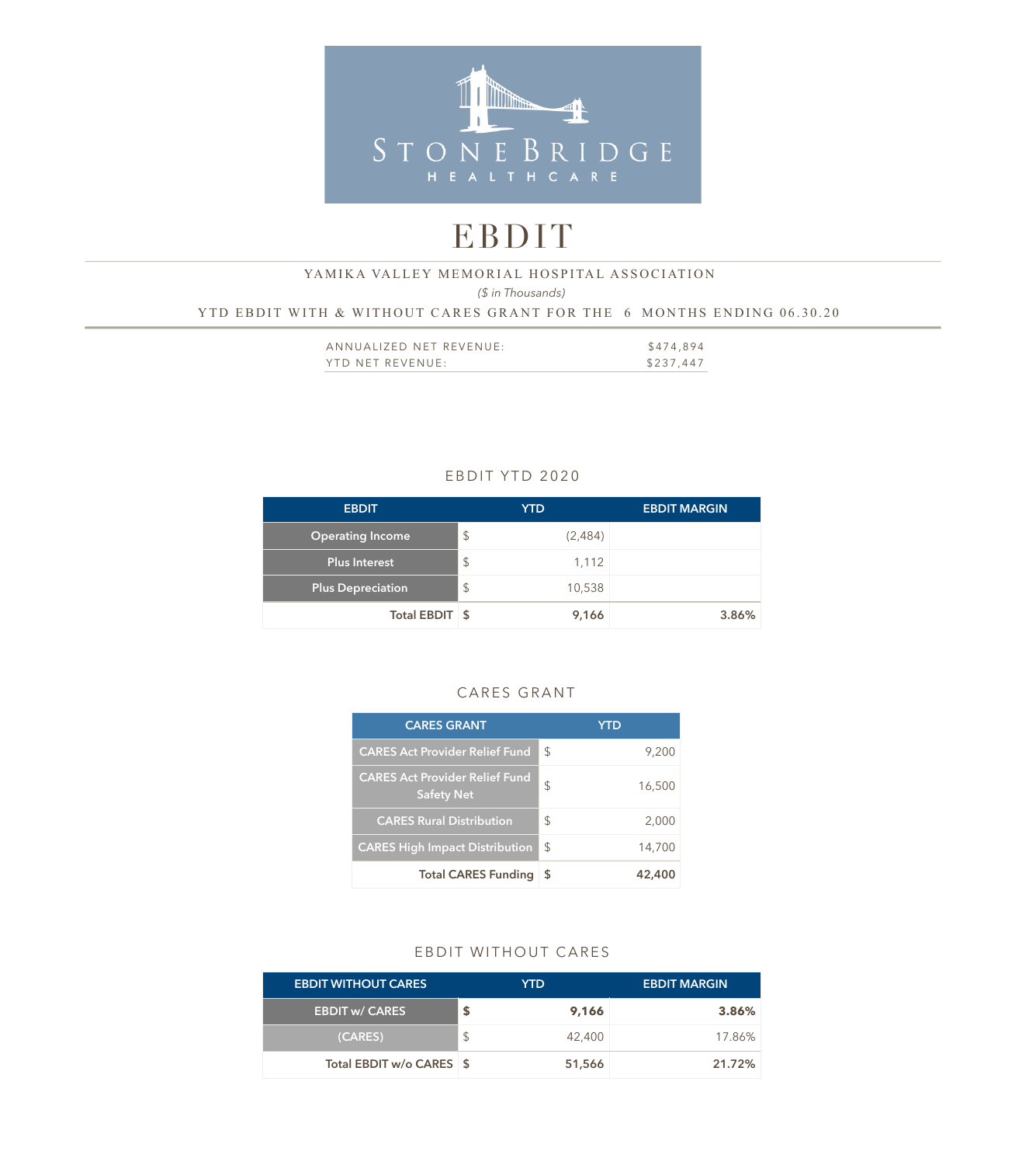

# EBDIT

# YAMIKA VALLEY MEMORIAL HOSPITAL ASSOCIATION

*(\$ in Thousands)* 

YTD EBDIT WITH & WITHOUT CARES GRANT FOR THE 6 MONTHS ENDING 06.30.20

| ANNUALIZED NET REVENUE: | \$474,894 |
|-------------------------|-----------|
| YTD NET REVENUE:        | \$237,447 |

# EBDIT YTD 2020

| <b>EBDIT</b>             | YTD.                      |         | <b>EBDIT MARGIN</b> |
|--------------------------|---------------------------|---------|---------------------|
| <b>Operating Income</b>  | $\boldsymbol{\mathsf{S}}$ | (2,484) |                     |
| <b>Plus Interest</b>     | $\boldsymbol{\mathsf{S}}$ | 1,112   |                     |
| <b>Plus Depreciation</b> | $\mathcal{L}$             | 10,538  |                     |
| Total EBDIT \$           |                           | 9,166   | 3.86%               |

### CARES GRANT

| <b>CARES GRANT</b>                                         |               | YTD    |
|------------------------------------------------------------|---------------|--------|
| <b>CARES Act Provider Relief Fund</b>                      | \$            | 9,200  |
| <b>CARES Act Provider Relief Fund</b><br><b>Safety Net</b> | \$            | 16,500 |
| <b>CARES Rural Distribution</b>                            | \$            | 2,000  |
| <b>CARES High Impact Distribution</b>                      | $\mathcal{S}$ | 14,700 |
| <b>Total CARES Funding</b>                                 | - \$          | 42,400 |

## EBDIT WITHOUT CARES

| <b>EBDIT WITHOUT CARES</b> | YTD.   | <b>EBDIT MARGIN</b> |
|----------------------------|--------|---------------------|
| <b>EBDIT w/ CARES</b>      | 9,166  | 3.86%               |
| (CARES)                    | 42,400 | 17.86%              |
| Total EBDIT w/o CARES \$   | 51,566 | 21.72%              |